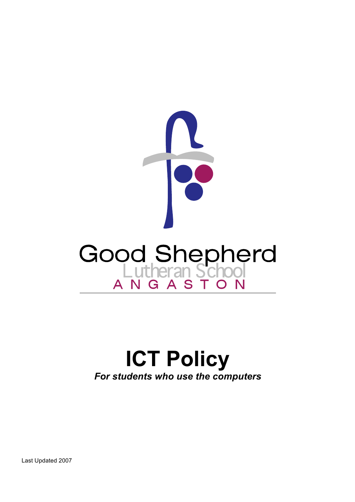

# **ICT Policy** *For students who use the computers*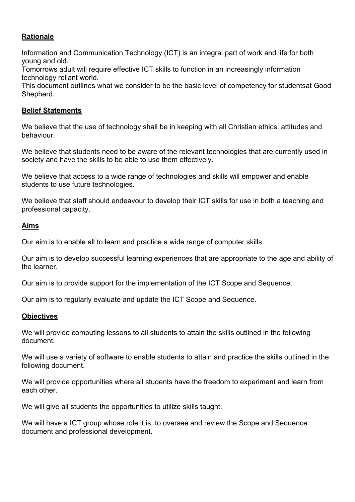## **Rationale**

Information and Communication Technology (ICT) is an integral part of work and life for both young and old.

Tomorrows adult will require effective ICT skills to function in an increasingly information technology reliant world.

This document outlines what we consider to be the basic level of competency for studentsat Good Shepherd.

#### **Belief Statements**

We believe that the use of technology shall be in keeping with all Christian ethics, attitudes and behaviour.

We believe that students need to be aware of the relevant technologies that are currently used in society and have the skills to be able to use them effectively.

We believe that access to a wide range of technologies and skills will empower and enable students to use future technologies.

We believe that staff should endeavour to develop their ICT skills for use in both a teaching and professional capacity.

#### **Aims**

Our aim is to enable all to learn and practice a wide range of computer skills.

Our aim is to develop successful learning experiences that are appropriate to the age and ability of the learner.

Our aim is to provide support for the implementation of the ICT Scope and Sequence.

Our aim is to regularly evaluate and update the ICT Scope and Sequence.

#### **Objectives**

We will provide computing lessons to all students to attain the skills outlined in the following document.

We will use a variety of software to enable students to attain and practice the skills outlined in the following document.

We will provide opportunities where all students have the freedom to experiment and learn from each other.

We will give all students the opportunities to utilize skills taught.

We will have a ICT group whose role it is, to oversee and review the Scope and Sequence document and professional development.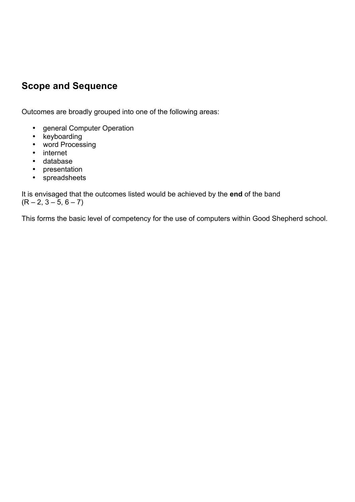## **Scope and Sequence**

Outcomes are broadly grouped into one of the following areas:

- general Computer Operation
- keyboarding
- word Processing
- internet
- database
- presentation
- spreadsheets

It is envisaged that the outcomes listed would be achieved by the **end** of the band  $(R - 2, 3 - 5, 6 - 7)$ 

This forms the basic level of competency for the use of computers within Good Shepherd school.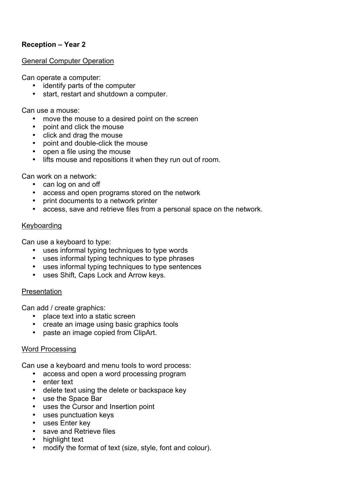## **Reception – Year 2**

#### General Computer Operation

Can operate a computer:

- identify parts of the computer
- start, restart and shutdown a computer.

Can use a mouse:

- move the mouse to a desired point on the screen
- point and click the mouse
- click and drag the mouse
- point and double-click the mouse
- open a file using the mouse
- lifts mouse and repositions it when they run out of room.

Can work on a network:

- can log on and off
- access and open programs stored on the network
- print documents to a network printer
- access, save and retrieve files from a personal space on the network.

#### Keyboarding

Can use a keyboard to type:

- uses informal typing techniques to type words
- uses informal typing techniques to type phrases
- uses informal typing techniques to type sentences
- uses Shift, Caps Lock and Arrow keys.

#### Presentation

Can add / create graphics:

- place text into a static screen
- create an image using basic graphics tools
- paste an image copied from ClipArt.

## Word Processing

Can use a keyboard and menu tools to word process:

- access and open a word processing program
- enter text
- delete text using the delete or backspace key
- use the Space Bar
- uses the Cursor and Insertion point
- uses punctuation keys
- uses Enter key
- save and Retrieve files
- highlight text
- modify the format of text (size, style, font and colour).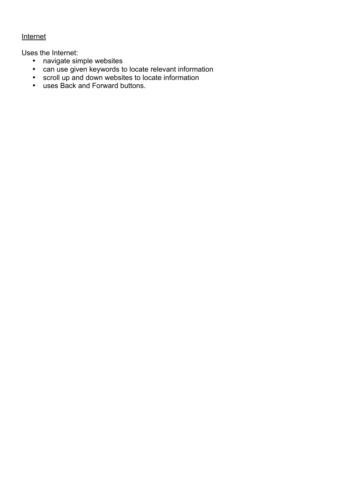## **Internet**

Uses the Internet:

- navigate simple websites
- can use given keywords to locate relevant information
- scroll up and down websites to locate information
- uses Back and Forward buttons.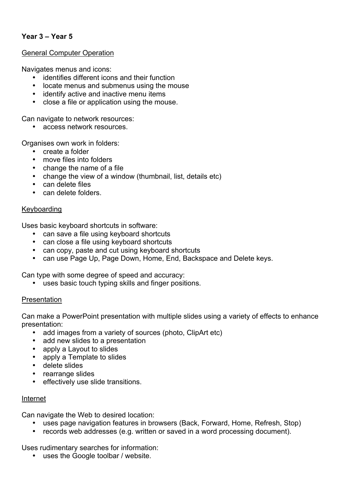## **Year 3 – Year 5**

#### General Computer Operation

Navigates menus and icons:

- identifies different icons and their function
- locate menus and submenus using the mouse
- identify active and inactive menu items
- close a file or application using the mouse.

Can navigate to network resources:

• access network resources.

Organises own work in folders:

- create a folder
- move files into folders
- change the name of a file
- change the view of a window (thumbnail, list, details etc)
- can delete files
- can delete folders.

#### Keyboarding

Uses basic keyboard shortcuts in software:

- can save a file using keyboard shortcuts
- can close a file using keyboard shortcuts
- can copy, paste and cut using keyboard shortcuts
- can use Page Up, Page Down, Home, End, Backspace and Delete keys.

Can type with some degree of speed and accuracy:

• uses basic touch typing skills and finger positions.

#### Presentation

Can make a PowerPoint presentation with multiple slides using a variety of effects to enhance presentation:

- add images from a variety of sources (photo, ClipArt etc)
- add new slides to a presentation
- apply a Layout to slides
- apply a Template to slides
- delete slides
- rearrange slides
- effectively use slide transitions.

#### Internet

Can navigate the Web to desired location:

- uses page navigation features in browsers (Back, Forward, Home, Refresh, Stop)
- records web addresses (e.g. written or saved in a word processing document).

Uses rudimentary searches for information:

• uses the Google toolbar / website.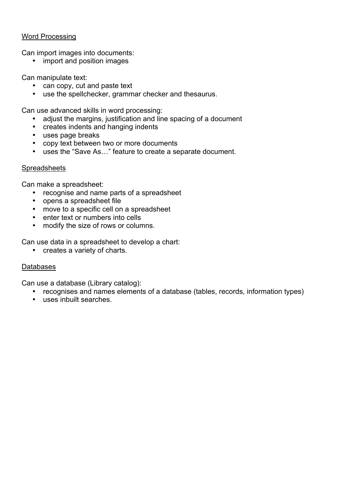#### Word Processing

Can import images into documents:

• import and position images

Can manipulate text:

- can copy, cut and paste text
- use the spellchecker, grammar checker and thesaurus.

Can use advanced skills in word processing:

- adjust the margins, justification and line spacing of a document
- creates indents and hanging indents
- uses page breaks
- copy text between two or more documents
- uses the "Save As…" feature to create a separate document.

#### **Spreadsheets**

Can make a spreadsheet:

- recognise and name parts of a spreadsheet
- opens a spreadsheet file
- move to a specific cell on a spreadsheet
- enter text or numbers into cells
- modify the size of rows or columns.

Can use data in a spreadsheet to develop a chart:

• creates a variety of charts.

#### Databases

Can use a database (Library catalog):

- recognises and names elements of a database (tables, records, information types)
- uses inbuilt searches.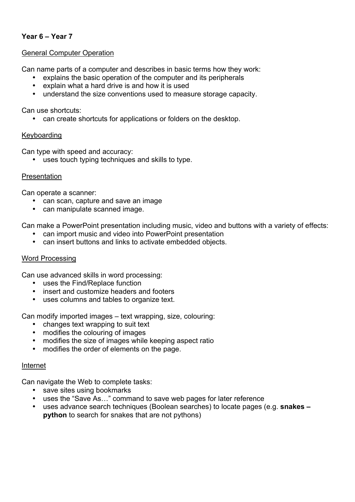## **Year 6 – Year 7**

#### General Computer Operation

Can name parts of a computer and describes in basic terms how they work:

- explains the basic operation of the computer and its peripherals
- explain what a hard drive is and how it is used
- understand the size conventions used to measure storage capacity.

Can use shortcuts:

• can create shortcuts for applications or folders on the desktop.

#### Keyboarding

Can type with speed and accuracy:

• uses touch typing techniques and skills to type.

#### Presentation

Can operate a scanner:

- can scan, capture and save an image
- can manipulate scanned image.

Can make a PowerPoint presentation including music, video and buttons with a variety of effects:

- can import music and video into PowerPoint presentation
- can insert buttons and links to activate embedded objects.

#### Word Processing

Can use advanced skills in word processing:

- uses the Find/Replace function
- insert and customize headers and footers
- uses columns and tables to organize text.

Can modify imported images – text wrapping, size, colouring:

- changes text wrapping to suit text
- modifies the colouring of images
- modifies the size of images while keeping aspect ratio
- modifies the order of elements on the page.

#### Internet

Can navigate the Web to complete tasks:

- save sites using bookmarks
- uses the "Save As…" command to save web pages for later reference
- uses advance search techniques (Boolean searches) to locate pages (e.g. **snakes – python** to search for snakes that are not pythons)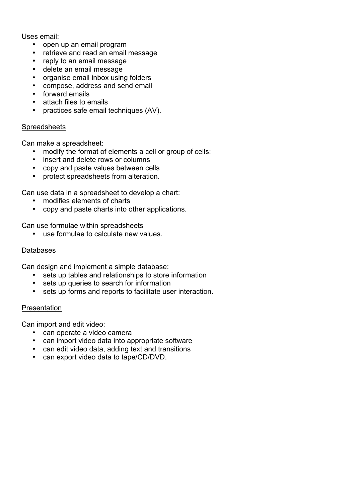Uses email:

- open up an email program
- retrieve and read an email message
- reply to an email message
- delete an email message
- organise email inbox using folders
- compose, address and send email
- forward emails
- attach files to emails
- practices safe email techniques (AV).

#### **Spreadsheets**

Can make a spreadsheet:

- modify the format of elements a cell or group of cells:
- insert and delete rows or columns
- copy and paste values between cells
- protect spreadsheets from alteration.

Can use data in a spreadsheet to develop a chart:

- modifies elements of charts
- copy and paste charts into other applications.

Can use formulae within spreadsheets

• use formulae to calculate new values.

#### Databases

Can design and implement a simple database:

- sets up tables and relationships to store information
- sets up queries to search for information
- sets up forms and reports to facilitate user interaction.

#### Presentation

Can import and edit video:

- can operate a video camera
- can import video data into appropriate software
- can edit video data, adding text and transitions
- can export video data to tape/CD/DVD.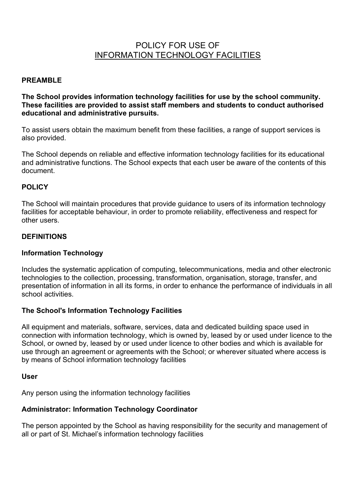## POLICY FOR USE OF INFORMATION TECHNOLOGY FACILITIES

#### **PREAMBLE**

**The School provides information technology facilities for use by the school community. These facilities are provided to assist staff members and students to conduct authorised educational and administrative pursuits.**

To assist users obtain the maximum benefit from these facilities, a range of support services is also provided.

The School depends on reliable and effective information technology facilities for its educational and administrative functions. The School expects that each user be aware of the contents of this document.

#### **POLICY**

The School will maintain procedures that provide guidance to users of its information technology facilities for acceptable behaviour, in order to promote reliability, effectiveness and respect for other users.

#### **DEFINITIONS**

#### **Information Technology**

Includes the systematic application of computing, telecommunications, media and other electronic technologies to the collection, processing, transformation, organisation, storage, transfer, and presentation of information in all its forms, in order to enhance the performance of individuals in all school activities.

#### **The School's Information Technology Facilities**

All equipment and materials, software, services, data and dedicated building space used in connection with information technology, which is owned by, leased by or used under licence to the School, or owned by, leased by or used under licence to other bodies and which is available for use through an agreement or agreements with the School; or wherever situated where access is by means of School information technology facilities

#### **User**

Any person using the information technology facilities

#### **Administrator: Information Technology Coordinator**

The person appointed by the School as having responsibility for the security and management of all or part of St. Michael's information technology facilities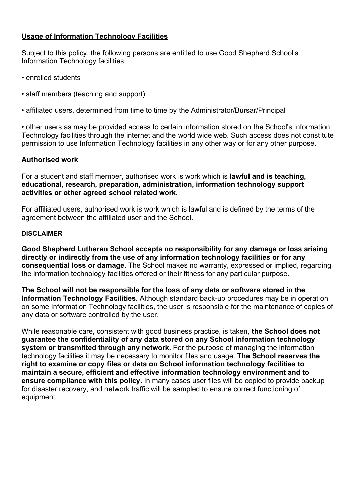## **Usage of Information Technology Facilities**

Subject to this policy, the following persons are entitled to use Good Shepherd School's Information Technology facilities:

- enrolled students
- staff members (teaching and support)
- affiliated users, determined from time to time by the Administrator/Bursar/Principal

• other users as may be provided access to certain information stored on the School's Information Technology facilities through the internet and the world wide web. Such access does not constitute permission to use Information Technology facilities in any other way or for any other purpose.

#### **Authorised work**

For a student and staff member, authorised work is work which is **lawful and is teaching, educational, research, preparation, administration, information technology support activities or other agreed school related work.**

For affiliated users, authorised work is work which is lawful and is defined by the terms of the agreement between the affiliated user and the School.

#### **DISCLAIMER**

**Good Shepherd Lutheran School accepts no responsibility for any damage or loss arising directly or indirectly from the use of any information technology facilities or for any consequential loss or damage.** The School makes no warranty, expressed or implied, regarding the information technology facilities offered or their fitness for any particular purpose.

**The School will not be responsible for the loss of any data or software stored in the Information Technology Facilities.** Although standard back-up procedures may be in operation on some Information Technology facilities, the user is responsible for the maintenance of copies of any data or software controlled by the user.

While reasonable care, consistent with good business practice, is taken, **the School does not guarantee the confidentiality of any data stored on any School information technology system or transmitted through any network.** For the purpose of managing the information technology facilities it may be necessary to monitor files and usage. **The School reserves the right to examine or copy files or data on School information technology facilities to maintain a secure, efficient and effective information technology environment and to ensure compliance with this policy.** In many cases user files will be copied to provide backup for disaster recovery, and network traffic will be sampled to ensure correct functioning of equipment.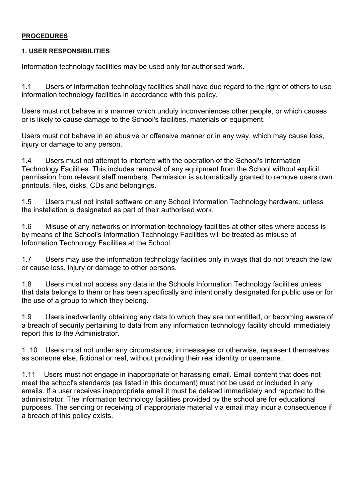#### **PROCEDURES**

#### **1. USER RESPONSIBILITIES**

Information technology facilities may be used only for authorised work.

1.1 Users of information technology facilities shall have due regard to the right of others to use information technology facilities in accordance with this policy.

Users must not behave in a manner which unduly inconveniences other people, or which causes or is likely to cause damage to the School's facilities, materials or equipment.

Users must not behave in an abusive or offensive manner or in any way, which may cause loss, injury or damage to any person.

1.4 Users must not attempt to interfere with the operation of the School's Information Technology Facilities. This includes removal of any equipment from the School without explicit permission from relevant staff members. Permission is automatically granted to remove users own printouts, files, disks, CDs and belongings.

1.5 Users must not install software on any School Information Technology hardware, unless the installation is designated as part of their authorised work.

1.6 Misuse of any networks or information technology facilities at other sites where access is by means of the School's Information Technology Facilities will be treated as misuse of Information Technology Facilities at the School.

1.7 Users may use the information technology facilities only in ways that do not breach the law or cause loss, injury or damage to other persons.

1.8 Users must not access any data in the Schools Information Technology facilities unless that data belongs to them or has been specifically and intentionally designated for public use or for the use of a group to which they belong.

1.9 Users inadvertently obtaining any data to which they are not entitled, or becoming aware of a breach of security pertaining to data from any information technology facility should immediately report this to the Administrator.

1 .10 Users must not under any circumstance, in messages or otherwise, represent themselves as someone else, fictional or real, without providing their real identity or username.

1.11 Users must not engage in inappropriate or harassing email. Email content that does not meet the school's standards (as listed in this document) must not be used or included in any emails. If a user receives inappropriate email it must be deleted immediately and reported to the administrator. The information technology facilities provided by the school are for educational purposes. The sending or receiving of inappropriate material via email may incur a consequence if a breach of this policy exists.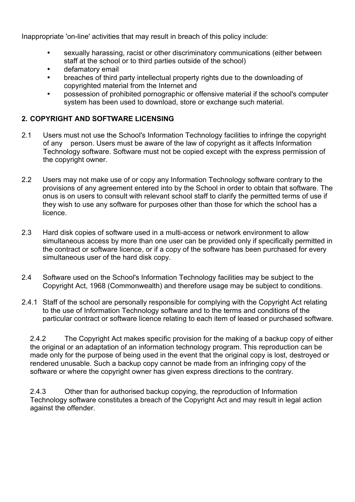Inappropriate 'on-line' activities that may result in breach of this policy include:

- sexually harassing, racist or other discriminatory communications (either between staff at the school or to third parties outside of the school)
- defamatory email
- breaches of third party intellectual property rights due to the downloading of copyrighted material from the Internet and
- possession of prohibited pornographic or offensive material if the school's computer system has been used to download, store or exchange such material.

## **2. COPYRIGHT AND SOFTWARE LICENSING**

- 2.1 Users must not use the School's Information Technology facilities to infringe the copyright of any person. Users must be aware of the law of copyright as it affects Information Technology software. Software must not be copied except with the express permission of the copyright owner.
- 2.2 Users may not make use of or copy any Information Technology software contrary to the provisions of any agreement entered into by the School in order to obtain that software. The onus is on users to consult with relevant school staff to clarify the permitted terms of use if they wish to use any software for purposes other than those for which the school has a licence.
- 2.3 Hard disk copies of software used in a multi-access or network environment to allow simultaneous access by more than one user can be provided only if specifically permitted in the contract or software licence, or if a copy of the software has been purchased for every simultaneous user of the hard disk copy.
- 2.4 Software used on the School's Information Technology facilities may be subject to the Copyright Act, 1968 (Commonwealth) and therefore usage may be subject to conditions.
- 2.4.1 Staff of the school are personally responsible for complying with the Copyright Act relating to the use of Information Technology software and to the terms and conditions of the particular contract or software licence relating to each item of leased or purchased software.

2.4.2 The Copyright Act makes specific provision for the making of a backup copy of either the original or an adaptation of an information technology program. This reproduction can be made only for the purpose of being used in the event that the original copy is lost, destroyed or rendered unusable. Such a backup copy cannot be made from an infringing copy of the software or where the copyright owner has given express directions to the contrary.

2.4.3 Other than for authorised backup copying, the reproduction of Information Technology software constitutes a breach of the Copyright Act and may result in legal action against the offender.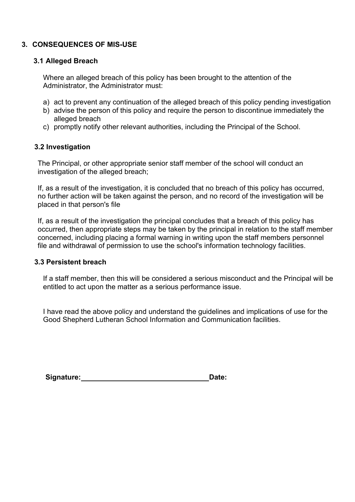## **3. CONSEQUENCES OF MIS-USE**

#### **3.1 Alleged Breach**

Where an alleged breach of this policy has been brought to the attention of the Administrator, the Administrator must:

- a) act to prevent any continuation of the alleged breach of this policy pending investigation
- b) advise the person of this policy and require the person to discontinue immediately the alleged breach
- c) promptly notify other relevant authorities, including the Principal of the School.

#### **3.2 Investigation**

The Principal, or other appropriate senior staff member of the school will conduct an investigation of the alleged breach;

If, as a result of the investigation, it is concluded that no breach of this policy has occurred, no further action will be taken against the person, and no record of the investigation will be placed in that person's file

If, as a result of the investigation the principal concludes that a breach of this policy has occurred, then appropriate steps may be taken by the principal in relation to the staff member concerned, including placing a formal warning in writing upon the staff members personnel file and withdrawal of permission to use the school's information technology facilities.

#### **3.3 Persistent breach**

If a staff member, then this will be considered a serious misconduct and the Principal will be entitled to act upon the matter as a serious performance issue.

I have read the above policy and understand the guidelines and implications of use for the Good Shepherd Lutheran School Information and Communication facilities.

| Signature: | Date: |
|------------|-------|
|------------|-------|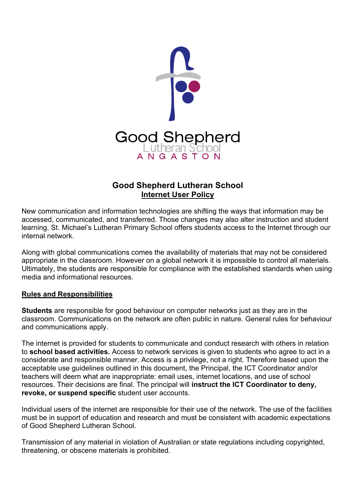

## **Good Shepherd Lutheran School Internet User Policy**

New communication and information technologies are shifting the ways that information may be accessed, communicated, and transferred. Those changes may also alter instruction and student learning. St. Michael's Lutheran Primary School offers students access to the Internet through our internal network.

Along with global communications comes the availability of materials that may not be considered appropriate in the classroom. However on a global network it is impossible to control all materials. Ultimately, the students are responsible for compliance with the established standards when using media and informational resources.

## **Rules and Responsibilities**

**Students** are responsible for good behaviour on computer networks just as they are in the classroom. Communications on the network are often public in nature. General rules for behaviour and communications apply.

The internet is provided for students to communicate and conduct research with others in relation to **school based activities.** Access to network services is given to students who agree to act in a considerate and responsible manner. Access is a privilege, not a right. Therefore based upon the acceptable use guidelines outlined in this document, the Principal, the ICT Coordinator and/or teachers will deem what are inappropriate: email uses, internet locations, and use of school resources. Their decisions are final. The principal will **instruct the ICT Coordinator to deny, revoke, or suspend specific** student user accounts.

Individual users of the internet are responsible for their use of the network. The use of the facilities must be in support of education and research and must be consistent with academic expectations of Good Shepherd Lutheran School.

Transmission of any material in violation of Australian or state regulations including copyrighted, threatening, or obscene materials is prohibited.